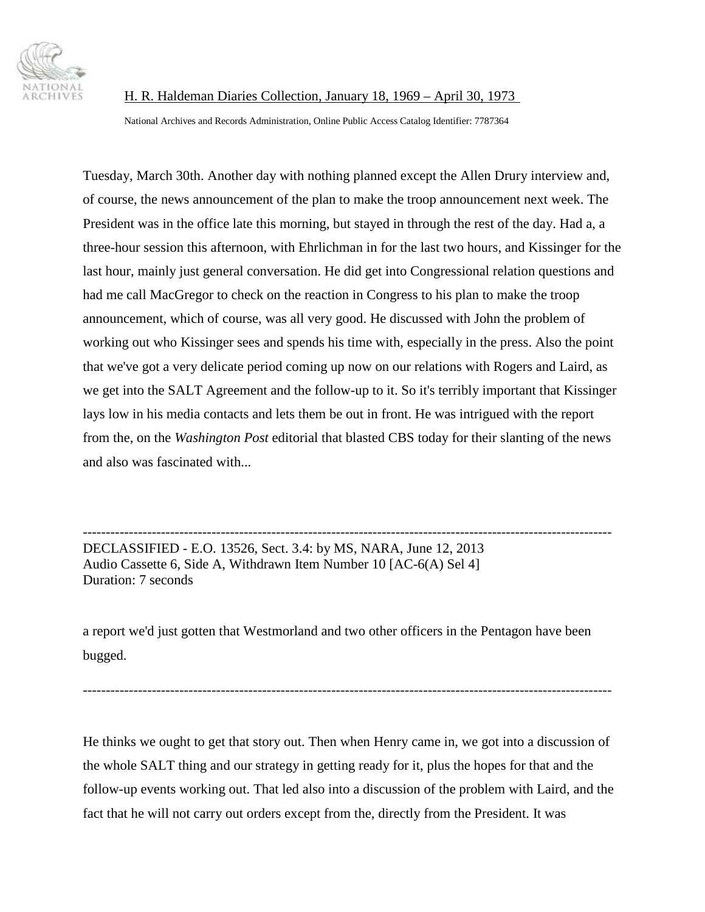

National Archives and Records Administration, Online Public Access Catalog Identifier: 7787364

Tuesday, March 30th. Another day with nothing planned except the Allen Drury interview and, of course, the news announcement of the plan to make the troop announcement next week. The President was in the office late this morning, but stayed in through the rest of the day. Had a, a three-hour session this afternoon, with Ehrlichman in for the last two hours, and Kissinger for the last hour, mainly just general conversation. He did get into Congressional relation questions and had me call MacGregor to check on the reaction in Congress to his plan to make the troop announcement, which of course, was all very good. He discussed with John the problem of working out who Kissinger sees and spends his time with, especially in the press. Also the point that we've got a very delicate period coming up now on our relations with Rogers and Laird, as we get into the SALT Agreement and the follow-up to it. So it's terribly important that Kissinger lays low in his media contacts and lets them be out in front. He was intrigued with the report from the, on the *Washington Post* editorial that blasted CBS today for their slanting of the news and also was fascinated with...

------------------------------------------------------------------------------------------------------------------- DECLASSIFIED - E.O. 13526, Sect. 3.4: by MS, NARA, June 12, 2013 Audio Cassette 6, Side A, Withdrawn Item Number 10 [AC-6(A) Sel 4] Duration: 7 seconds

a report we'd just gotten that Westmorland and two other officers in the Pentagon have been bugged.

-------------------------------------------------------------------------------------------------------------------

He thinks we ought to get that story out. Then when Henry came in, we got into a discussion of the whole SALT thing and our strategy in getting ready for it, plus the hopes for that and the follow-up events working out. That led also into a discussion of the problem with Laird, and the fact that he will not carry out orders except from the, directly from the President. It was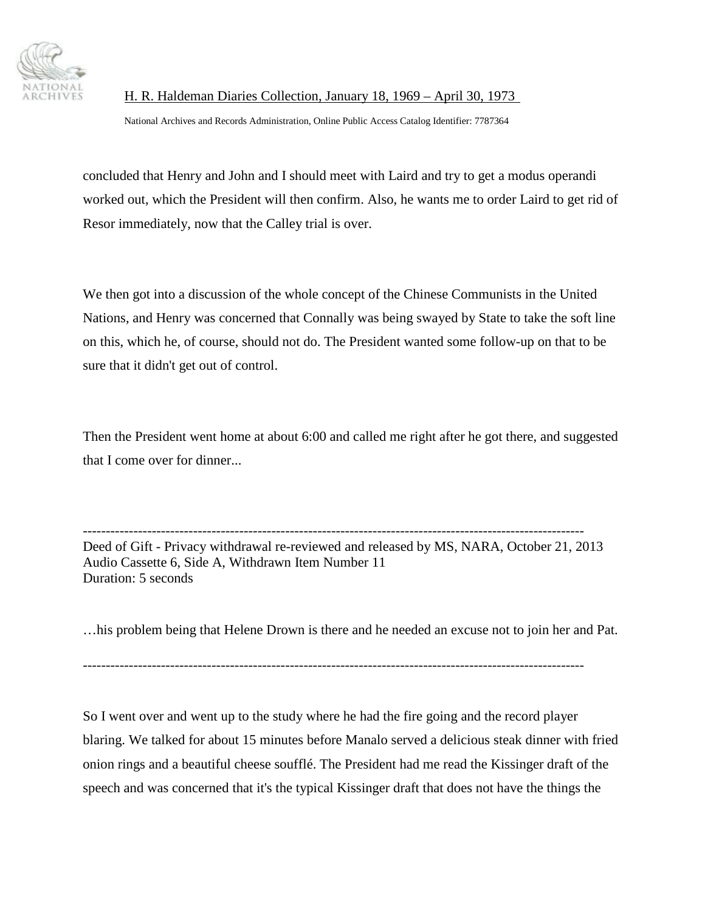

National Archives and Records Administration, Online Public Access Catalog Identifier: 7787364

concluded that Henry and John and I should meet with Laird and try to get a modus operandi worked out, which the President will then confirm. Also, he wants me to order Laird to get rid of Resor immediately, now that the Calley trial is over.

We then got into a discussion of the whole concept of the Chinese Communists in the United Nations, and Henry was concerned that Connally was being swayed by State to take the soft line on this, which he, of course, should not do. The President wanted some follow-up on that to be sure that it didn't get out of control.

Then the President went home at about 6:00 and called me right after he got there, and suggested that I come over for dinner...

------------------------------------------------------------------------------------------------------------- Deed of Gift - Privacy withdrawal re-reviewed and released by MS, NARA, October 21, 2013 Audio Cassette 6, Side A, Withdrawn Item Number 11 Duration: 5 seconds

…his problem being that Helene Drown is there and he needed an excuse not to join her and Pat.

-------------------------------------------------------------------------------------------------------------

So I went over and went up to the study where he had the fire going and the record player blaring. We talked for about 15 minutes before Manalo served a delicious steak dinner with fried onion rings and a beautiful cheese soufflé. The President had me read the Kissinger draft of the speech and was concerned that it's the typical Kissinger draft that does not have the things the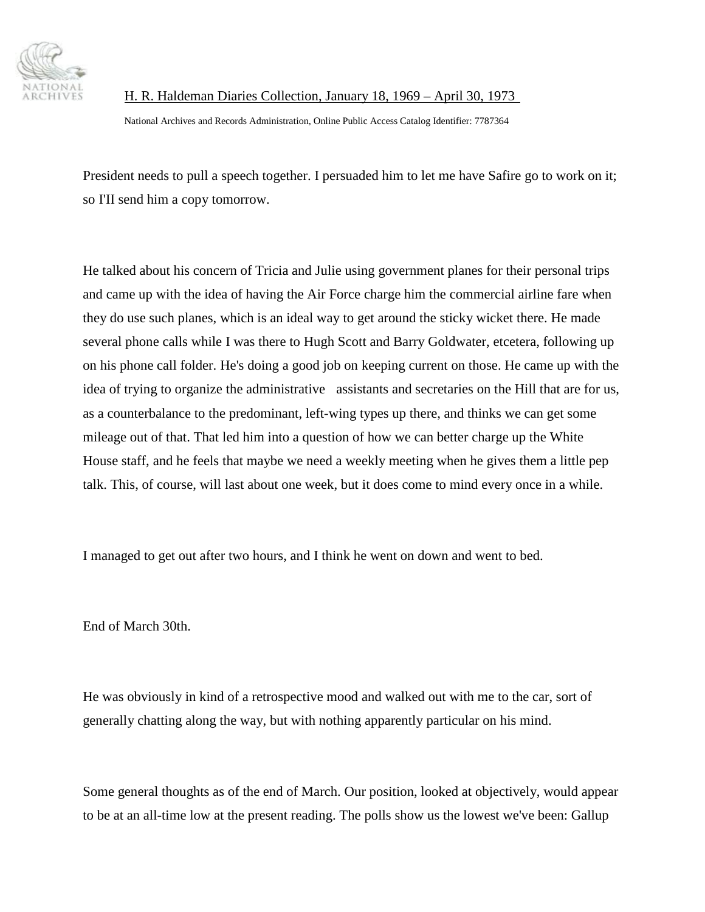

National Archives and Records Administration, Online Public Access Catalog Identifier: 7787364

President needs to pull a speech together. I persuaded him to let me have Safire go to work on it; so I'II send him a copy tomorrow.

He talked about his concern of Tricia and Julie using government planes for their personal trips and came up with the idea of having the Air Force charge him the commercial airline fare when they do use such planes, which is an ideal way to get around the sticky wicket there. He made several phone calls while I was there to Hugh Scott and Barry Goldwater, etcetera, following up on his phone call folder. He's doing a good job on keeping current on those. He came up with the idea of trying to organize the administrative assistants and secretaries on the Hill that are for us, as a counterbalance to the predominant, left-wing types up there, and thinks we can get some mileage out of that. That led him into a question of how we can better charge up the White House staff, and he feels that maybe we need a weekly meeting when he gives them a little pep talk. This, of course, will last about one week, but it does come to mind every once in a while.

I managed to get out after two hours, and I think he went on down and went to bed.

End of March 30th.

He was obviously in kind of a retrospective mood and walked out with me to the car, sort of generally chatting along the way, but with nothing apparently particular on his mind.

Some general thoughts as of the end of March. Our position, looked at objectively, would appear to be at an all-time low at the present reading. The polls show us the lowest we've been: Gallup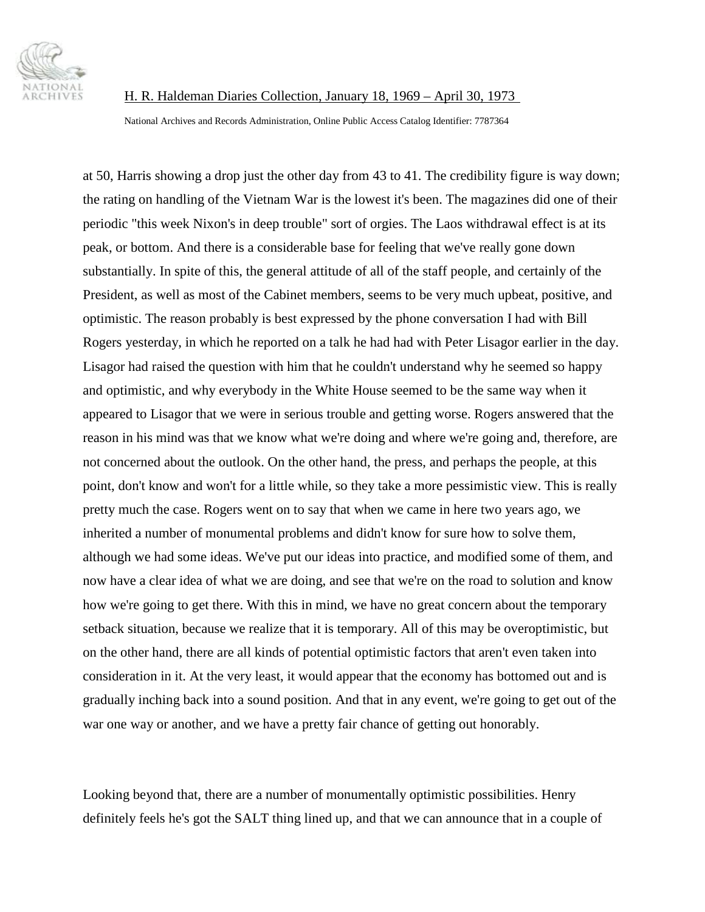

National Archives and Records Administration, Online Public Access Catalog Identifier: 7787364

at 50, Harris showing a drop just the other day from 43 to 41. The credibility figure is way down; the rating on handling of the Vietnam War is the lowest it's been. The magazines did one of their periodic "this week Nixon's in deep trouble" sort of orgies. The Laos withdrawal effect is at its peak, or bottom. And there is a considerable base for feeling that we've really gone down substantially. In spite of this, the general attitude of all of the staff people, and certainly of the President, as well as most of the Cabinet members, seems to be very much upbeat, positive, and optimistic. The reason probably is best expressed by the phone conversation I had with Bill Rogers yesterday, in which he reported on a talk he had had with Peter Lisagor earlier in the day. Lisagor had raised the question with him that he couldn't understand why he seemed so happy and optimistic, and why everybody in the White House seemed to be the same way when it appeared to Lisagor that we were in serious trouble and getting worse. Rogers answered that the reason in his mind was that we know what we're doing and where we're going and, therefore, are not concerned about the outlook. On the other hand, the press, and perhaps the people, at this point, don't know and won't for a little while, so they take a more pessimistic view. This is really pretty much the case. Rogers went on to say that when we came in here two years ago, we inherited a number of monumental problems and didn't know for sure how to solve them, although we had some ideas. We've put our ideas into practice, and modified some of them, and now have a clear idea of what we are doing, and see that we're on the road to solution and know how we're going to get there. With this in mind, we have no great concern about the temporary setback situation, because we realize that it is temporary. All of this may be overoptimistic, but on the other hand, there are all kinds of potential optimistic factors that aren't even taken into consideration in it. At the very least, it would appear that the economy has bottomed out and is gradually inching back into a sound position. And that in any event, we're going to get out of the war one way or another, and we have a pretty fair chance of getting out honorably.

Looking beyond that, there are a number of monumentally optimistic possibilities. Henry definitely feels he's got the SALT thing lined up, and that we can announce that in a couple of